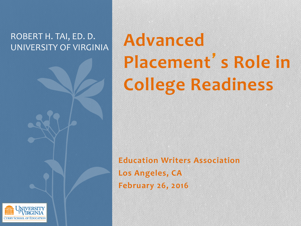#### ROBERT H. TAI, ED. D. UNIVERSITY OF VIRGINIA



**Education Writers Association** Los Angeles, **CA February 26, 2016** 

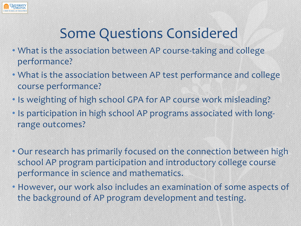

## **Some Questions Considered**

- What is the association between AP course-taking and college performance?
- What is the association between AP test performance and college course performance?
- Is weighting of high school GPA for AP course work misleading?
- Is participation in high school AP programs associated with longrange outcomes?
- Our research has primarily focused on the connection between high school AP program participation and introductory college course performance in science and mathematics.
- However, our work also includes an examination of some aspects of the background of AP program development and testing.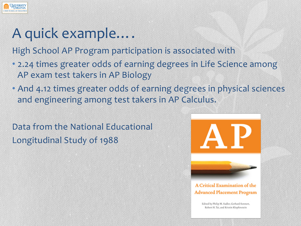

### A quick example....

High School AP Program participation is associated with

- 2.24 times greater odds of earning degrees in Life Science among AP exam test takers in AP Biology
- And 4.12 times greater odds of earning degrees in physical sciences and engineering among test takers in AP Calculus.

Data from the National Educational Longitudinal Study of 1988

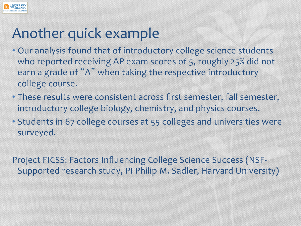

## Another quick example

- Our analysis found that of introductory college science students who reported receiving AP exam scores of 5, roughly 25% did not earn a grade of "A" when taking the respective introductory college course.
- These results were consistent across first semester, fall semester, introductory college biology, chemistry, and physics courses.
- Students in 67 college courses at 55 colleges and universities were surveyed.

Project FICSS: Factors Influencing College Science Success (NSF-Supported research study, PI Philip M. Sadler, Harvard University)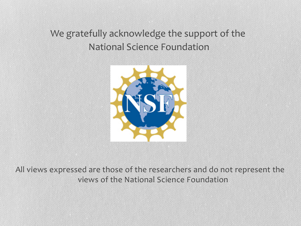#### We gratefully acknowledge the support of the National Science Foundation



All views expressed are those of the researchers and do not represent the views of the National Science Foundation